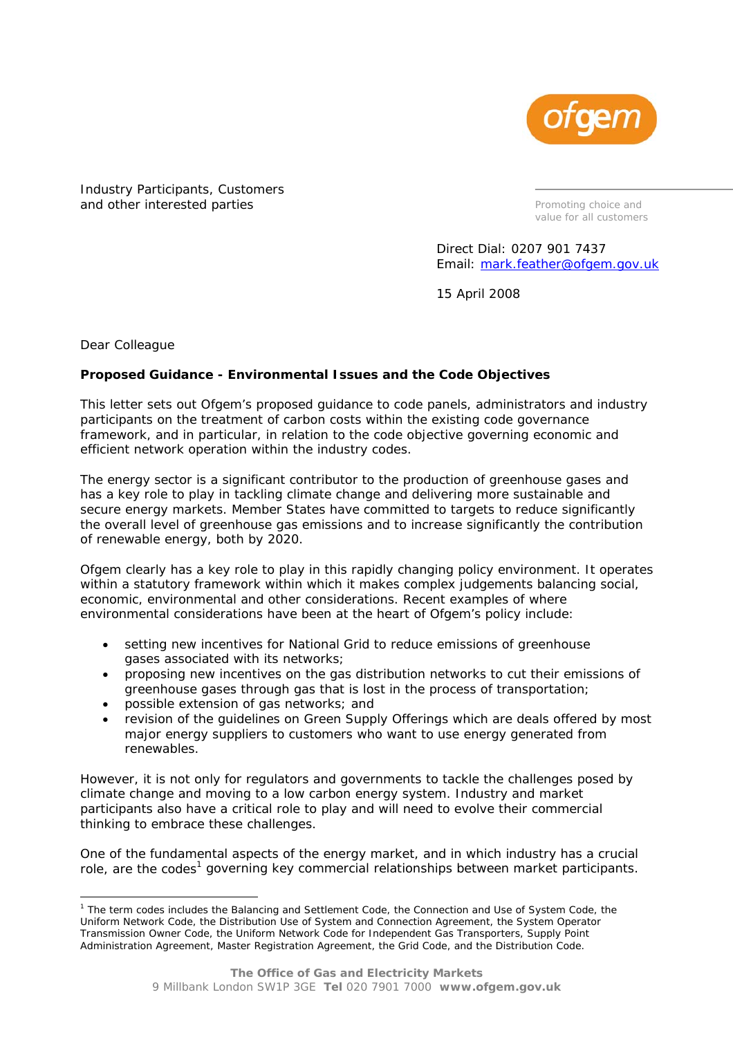

Industry Participants, Customers and other interested parties

*Promoting choice and value for all customers* 

Direct Dial: 0207 901 7437 Email: mark.feather@ofgem.gov.uk

15 April 2008

Dear Colleague

ł

## **Proposed Guidance - Environmental Issues and the Code Objectives**

This letter sets out Ofgem's proposed guidance to code panels, administrators and industry participants on the treatment of carbon costs within the existing code governance framework, and in particular, in relation to the code objective governing economic and efficient network operation within the industry codes.

The energy sector is a significant contributor to the production of greenhouse gases and has a key role to play in tackling climate change and delivering more sustainable and secure energy markets. Member States have committed to targets to reduce significantly the overall level of greenhouse gas emissions and to increase significantly the contribution of renewable energy, both by 2020.

Ofgem clearly has a key role to play in this rapidly changing policy environment. It operates within a statutory framework within which it makes complex judgements balancing social, economic, environmental and other considerations. Recent examples of where environmental considerations have been at the heart of Ofgem's policy include:

- *setting new incentives for National Grid to reduce emissions of greenhouse gases associated with its networks;*
- *proposing new incentives on the gas distribution networks to cut their emissions of greenhouse gases through gas that is lost in the process of transportation;*
- *possible extension of gas networks; and*
- *revision of the guidelines on Green Supply Offerings which are deals offered by most major energy suppliers to customers who want to use energy generated from renewables.*

However, it is not only for regulators and governments to tackle the challenges posed by climate change and moving to a low carbon energy system. Industry and market participants also have a critical role to play and will need to evolve their commercial thinking to embrace these challenges.

One of the fundamental aspects of the energy market, and in which industry has a crucial role, are the codes<sup>1</sup> governing key commercial relationships between market participants.

<sup>&</sup>lt;sup>1</sup> The term codes includes the Balancing and Settlement Code, the Connection and Use of System Code, the Uniform Network Code, the Distribution Use of System and Connection Agreement, the System Operator Transmission Owner Code, the Uniform Network Code for Independent Gas Transporters, Supply Point Administration Agreement, Master Registration Agreement, the Grid Code, and the Distribution Code.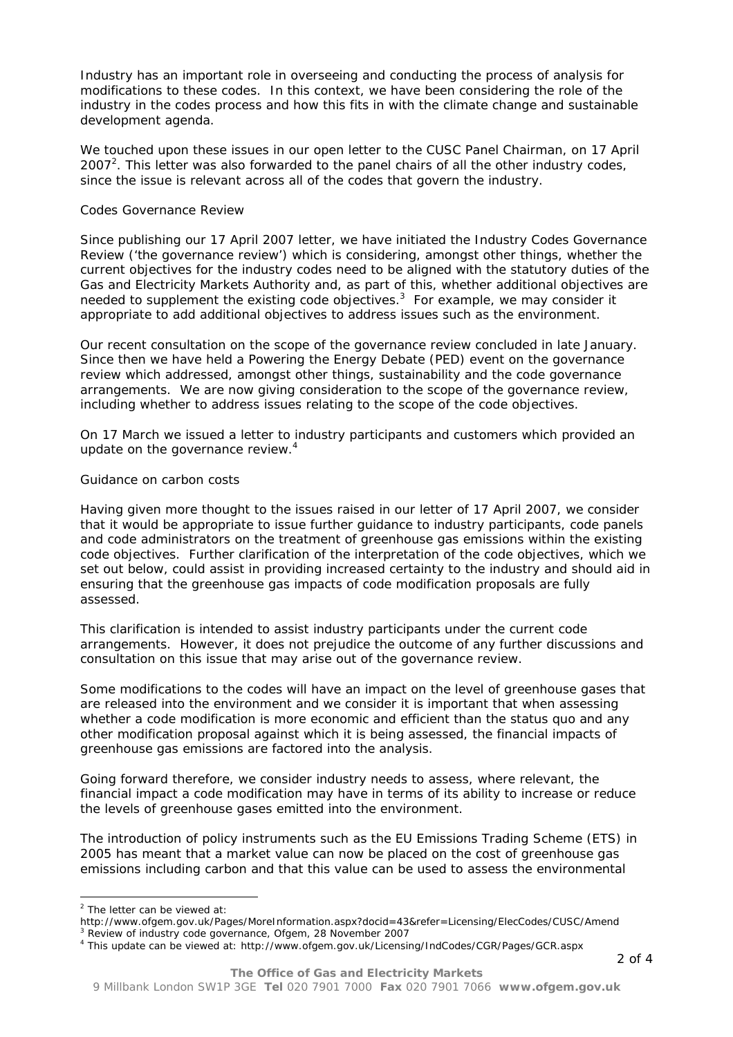Industry has an important role in overseeing and conducting the process of analysis for modifications to these codes. In this context, we have been considering the role of the industry in the codes process and how this fits in with the climate change and sustainable development agenda.

We touched upon these issues in our open letter to the CUSC Panel Chairman, on 17 April 2007<sup>2</sup>. This letter was also forwarded to the panel chairs of all the other industry codes, since the issue is relevant across all of the codes that govern the industry.

## *Codes Governance Review*

Since publishing our 17 April 2007 letter, we have initiated the Industry Codes Governance Review ('the governance review') which is considering, amongst other things, whether the current objectives for the industry codes need to be aligned with the statutory duties of the Gas and Electricity Markets Authority and, as part of this, whether additional objectives are needed to supplement the existing code objectives.*<sup>3</sup>* For example, we may consider it appropriate to add additional objectives to address issues such as the environment.

Our recent consultation on the scope of the governance review concluded in late January. Since then we have held a Powering the Energy Debate (PED) event on the governance review which addressed, amongst other things, sustainability and the code governance arrangements. We are now giving consideration to the scope of the governance review, including whether to address issues relating to the scope of the code objectives.

On 17 March we issued a letter to industry participants and customers which provided an update on the governance review.<sup>4</sup>

## *Guidance on carbon costs*

Having given more thought to the issues raised in our letter of 17 April 2007, we consider that it would be appropriate to issue further guidance to industry participants, code panels and code administrators on the treatment of greenhouse gas emissions within the existing code objectives. Further clarification of the interpretation of the code objectives, which we set out below, could assist in providing increased certainty to the industry and should aid in ensuring that the greenhouse gas impacts of code modification proposals are fully assessed.

This clarification is intended to assist industry participants under the current code arrangements. However, it does not prejudice the outcome of any further discussions and consultation on this issue that may arise out of the governance review.

Some modifications to the codes will have an impact on the level of greenhouse gases that are released into the environment and we consider it is important that when assessing whether a code modification is more economic and efficient than the status quo and any other modification proposal against which it is being assessed, the financial impacts of greenhouse gas emissions are factored into the analysis.

Going forward therefore, we consider industry needs to assess, where relevant, the financial impact a code modification may have in terms of its ability to increase or reduce the levels of greenhouse gases emitted into the environment.

The introduction of policy instruments such as the EU Emissions Trading Scheme (ETS) in 2005 has meant that a market value can now be placed on the cost of greenhouse gas emissions including carbon and that this value can be used to assess the environmental

ł

<sup>&</sup>lt;sup>2</sup> The letter can be viewed at:

http://www.ofgem.gov.uk/Pages/MoreInformation.aspx?docid=43&refer=Licensing/ElecCodes/CUSC/Amend<br><sup>3</sup> *Review of industry code governance,* Ofgem, 28 November 2007

This update can be viewed at: http://www.ofgem.gov.uk/Licensing/IndCodes/CGR/Pages/GCR.aspx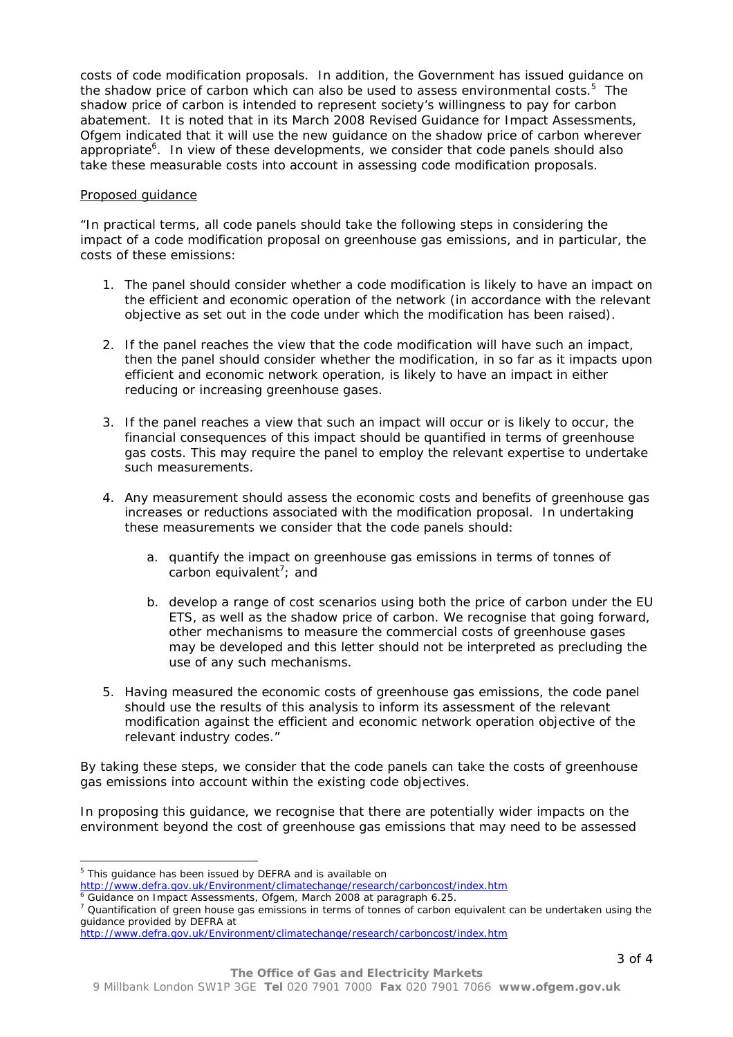costs of code modification proposals. In addition, the Government has issued guidance on the shadow price of carbon which can also be used to assess environmental costs.<sup>5</sup> The shadow price of carbon is intended to represent society's willingness to pay for carbon abatement. It is noted that in its March 2008 Revised Guidance for Impact Assessments, Ofgem indicated that it will use the new guidance on the shadow price of carbon wherever appropriate<sup>6</sup>. In view of these developments, we consider that code panels should also take these measurable costs into account in assessing code modification proposals.

## Proposed guidance

"*In practical terms, all code panels should take the following steps in considering the impact of a code modification proposal on greenhouse gas emissions, and in particular, the costs of these emissions:* 

- 1. The panel should consider whether a code modification is likely to have an impact on *the efficient and economic operation of the network (in accordance with the relevant objective as set out in the code under which the modification has been raised).*
- *2. If the panel reaches the view that the code modification will have such an impact, then the panel should consider whether the modification, in so far as it impacts upon efficient and economic network operation, is likely to have an impact in either reducing or increasing greenhouse gases.*
- *3. If the panel reaches a view that such an impact will occur or is likely to occur, the financial consequences of this impact should be quantified in terms of greenhouse gas costs. This may require the panel to employ the relevant expertise to undertake such measurements.*
- *4. Any measurement should assess the economic costs and benefits of greenhouse gas increases or reductions associated with the modification proposal. In undertaking these measurements we consider that the code panels should:* 
	- *a. quantify the impact on greenhouse gas emissions in terms of tonnes of*  carbon equivalent<sup>7</sup>; and
	- *b. develop a range of cost scenarios using both the price of carbon under the EU ETS, as well as the shadow price of carbon. We recognise that going forward, other mechanisms to measure the commercial costs of greenhouse gases may be developed and this letter should not be interpreted as precluding the use of any such mechanisms.*
- *5. Having measured the economic costs of greenhouse gas emissions, the code panel should use the results of this analysis to inform its assessment of the relevant modification against the efficient and economic network operation objective of the relevant industry codes."*

By taking these steps, we consider that the code panels can take the costs of greenhouse gas emissions into account within the existing code objectives.

In proposing this guidance, we recognise that there are potentially wider impacts on the environment beyond the cost of greenhouse gas emissions that may need to be assessed

l

<sup>&</sup>lt;sup>5</sup> This guidance has been issued by DEFRA and is available on

http://www.defra.gov.uk/Environment/climatechange/research/carboncost/index.htm <sup>6</sup> *Guidance on Impact Assessments*, Ofgem, March 2008 at paragraph 6.25. 7

<sup>&</sup>lt;sup>7</sup> Quantification of green house gas emissions in terms of tonnes of carbon equivalent can be undertaken using the guidance provided by DEFRA at

http://www.defra.gov.uk/Environment/climatechange/research/carboncost/index.htm